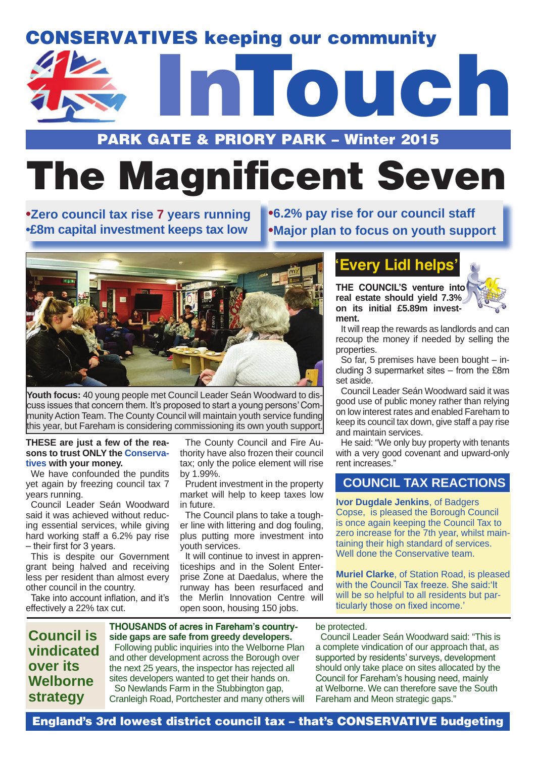## CONSERVATIVES keeping our community



## PARK GATE & PRIORY PARK – Winter 2015

# The Magnificent Seven

**•Zero council tax rise 7 years running •£8m capital investment keeps tax low**

**•6.2% pay rise for our council staff •Major plan to focus on youth support**



**Youth focus:** 40 young people met Council Leader Seán Woodward to discuss issues that concern them. It's proposed to start a young persons' Community Action Team. The County Council will maintain youth service funding this year, but Fareham is considering commissioning its own youth support.

#### **THESE are just a few of the reasons to trust ONLY the Conservatives with your money.**

We have confounded the pundits yet again by freezing council tax 7 years running.

Council Leader Seán Woodward said it was achieved without reducing essential services, while giving hard working staff a 6.2% pay rise – their first for 3 years.

This is despite our Government grant being halved and receiving less per resident than almost every other council in the country.

Take into account inflation, and it's effectively a 22% tax cut.

The County Council and Fire Authority have also frozen their council tax; only the police element will rise by 1.99%.

Prudent investment in the property market will help to keep taxes low in future.

The Council plans to take a tougher line with littering and dog fouling, plus putting more investment into youth services.

It will continue to invest in apprenticeships and in the Solent Enterprise Zone at Daedalus, where the runway has been resurfaced and the Merlin Innovation Centre will open soon, housing 150 jobs.

## **'Every Lidl helps'**

**THE COUNCIL'S venture into real estate should yield 7.3% on its initial £5.89m investment.**

It will reap the rewards as landlords and can recoup the money if needed by selling the properties.

So far, 5 premises have been bought – including 3 supermarket sites – from the £8m set aside.

Council Leader Seán Woodward said it was good use of public money rather than relying on low interest rates and enabled Fareham to keep its council tax down, give staff a pay rise and maintain services.

He said: "We only buy property with tenants with a very good covenant and upward-only rent increases."

## **COUNCIL TAX REACTIONS**

**Ivor Dugdale Jenkins**, of Badgers Copse, is pleased the Borough Council is once again keeping the Council Tax to zero increase for the 7th year, whilst maintaining their high standard of services. Well done the Conservative team.

**Muriel Clarke**, of Station Road, is pleased with the Council Tax freeze. She said:'It will be so helpful to all residents but particularly those on fixed income.'

## **Council is vindicated over its Welborne strategy**

**THOUSANDS of acres in Fareham's countryside gaps are safe from greedy developers.** Following public inquiries into the Welborne Plan and other development across the Borough over the next 25 years, the inspector has rejected all sites developers wanted to get their hands on. So Newlands Farm in the Stubbington gap, Cranleigh Road, Portchester and many others will

#### be protected.

Council Leader Seán Woodward said: "This is a complete vindication of our approach that, as supported by residents' surveys, development should only take place on sites allocated by the Council for Fareham's housing need, mainly at Welborne. We can therefore save the South Fareham and Meon strategic gaps."

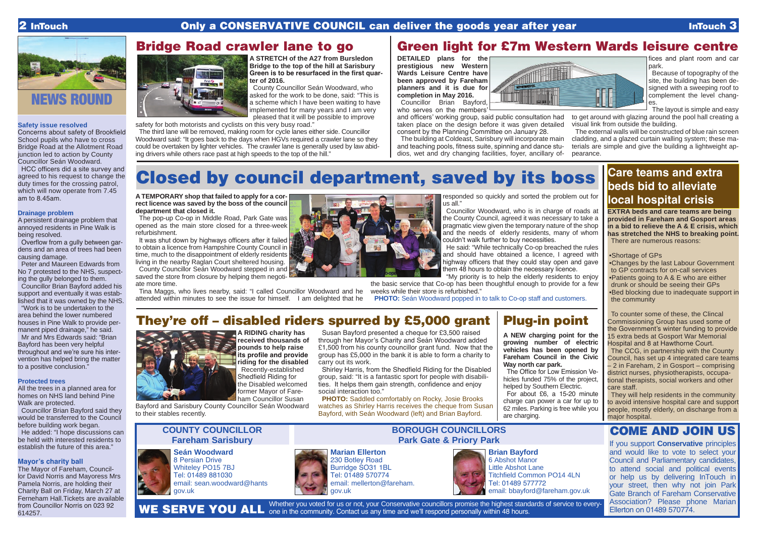## 2 InTouch **Only a CONSERVATIVE COUNCIL can deliver the goods year after year InTouch 3**

#### **Safety issue resolved**

Concerns about safety of Brookfield School pupils who have to cross Bridge Road at the Allotment Road junction led to action by County Councillor Seán Woodward.

HCC officers did a site survey and agreed to his request to change the duty times for the crossing patrol, which will now operate from 7.45 am to 8.45am.

#### **Drainage problem**

A persistent drainage problem that annoyed residents in Pine Walk is being resolved.

Overflow from a gully between gardens and an area of trees had been causing damage.

Peter and Maureen Edwards from No 7 protested to the NHS, suspecting the gully belonged to them.

Councillor Brian Bayford added his support and eventually it was established that it was owned by the NHS.

"Work is to be undertaken to the area behind the lower numbered houses in Pine Walk to provide permanent piped drainage," he said.

Mr and Mrs Edwards said: "Brian Bayford has been very helpful throughout and we're sure his intervention has helped bring the matter to a positive conclusion."

#### **Protected trees**

All the trees in a planned area for homes on NHS land behind Pine Walk are protected.

Councillor Brian Bayford said they would be transferred to the Council before building work began.

> Whether you voted for us or not, your Conservative councillors promise the highest standards of service to every-WE SERVE YOU ALL one in the community. Contact us any time and we'll respond personally within 48 hours.



He added: "I hope discussions can be held with interested residents to establish the future of this area."

### **Mayor's charity ball**

The Mayor of Fareham, Councillor David Norris and Mayoress Mrs Pamela Norris, are holding their Charity Ball on Friday, March 27 at Ferneham Hall.Tickets are available from Councillor Norris on 023 92 614257.





**A STRETCH of the A27 from Bursledon Bridge to the top of the hill at Sarisbury Green is to be resurfaced in the first quarter of 2016.**

County Councillor Seán Woodward, who asked for the work to be done, said: "This is a scheme which I have been waiting to have implemented for many years and I am very pleased that it will be possible to improve

safety for both motorists and cyclists on this very busy road."

The third lane will be removed, making room for cycle lanes either side. Councillor Woodward said: "It goes back to the days when HGVs required a crawler lane so they could be overtaken by lighter vehicles. The crawler lane is generally used by law abiding drivers while others race past at high speeds to the top of the hill."

## Bridge Road crawler lane to go | Green light for £7m Western Wards leisure centre

**Marian Ellerton** 230 Botley Road Burridge SO31 1BL Tel: 01489 570774 email: mellerton@fareham. gov.uk

**PHOTO:** Saddled comfortably on Rocky, Josie Brooks watches as Shirley Harris receives the cheque from Susan Bayford, with Seán Woodward (left) and Brian Bayford.

**Seán Woodward** 8 Persian Drive Whiteley PO15 7BJ Tel: 01489 881030 email: sean.woodward@hants gov.uk

## **COUNTY COUNCILLOR Fareham Sarisbury**

## **BOROUGH COUNCILLORS Park Gate & Priory Park**



## COME AND JOIN US

It was shut down by highways officers after it failed to obtain a licence from Hampshire County Council in time, much to the disappointment of elderly residents living in the nearby Raglan Court sheltered housing. County Councillor Seán Woodward stepped in and

> If you support **Conservative** principles and would like to vote to select your Council and Parliamentary candidates, to attend social and political events or help us by delivering InTouch in your street, then why not join Park Gate Branch of Fareham Conservative Association? Please phone Marian Ellerton on 01489 570774. **Brian Bayford** 6 Abshot Manor Little Abshot Lane Titchfield Common PO14 4LN Tel: 01489 577772 email: bbayford@fareham.gov.uk

## **Care teams and extra beds bid to alleviate local hospital crisis**

**EXTRA beds and care teams are being provided in Fareham and Gosport areas in a bid to relieve the A & E crisis, which has stretched the NHS to breaking point.** There are numerous reasons:

•Shortage of GPs

•Changes by the last Labour Government to GP contracts for on-call services •Patients going to A & E who are either drunk or should be seeing their GPs •Bed blocking due to inadequate support in the community

To counter some of these, the Clincal Commissioning Group has used some of the Government's winter funding to provide 15 extra beds at Gosport War Memorial Hospital and 8 at Hawthorne Court.

The Office for Low Emission Vehicles funded 75% of the project, helped by Southern Electric. For about £6, a 15-20 minute charge can power a car for up to 62 miles. Parking is free while you are charging.

The CCG, in partnership with the County Council, has set up 4 integrated care teams – 2 in Fareham, 2 in Gosport – comprising district nurses, physiotherapists, occupational therapists, social workers and other care staff.

They will help residents in the community to avoid intensive hospital care and support people, mostly elderly, on discharge from a major hospital.

**A RIDING charity has received thousands of pounds to help raise its profile and provide riding for the disabled** Recently-established Shedfield Riding for the Disabled welcomed former Mayor of Fareham Councillor Susan Bayford and Sarisbury County Councillor Seán Woodward

to their stables recently.

Susan Bayford presented a cheque for £3,500 raised through her Mayor's Charity and Seán Woodward added £1,500 from his county councillor grant fund. Now that the group has £5,000 in the bank it is able to form a charity to carry out its work.

Shirley Harris, from the Shedfield Riding for the Disabled group, said: "It is a fantastic sport for people with disabilities. It helps them gain strength, confidence and enjoy social interaction too."

## They're off – disabled riders spurred by £5,000 grant



## Closed by council department, saved by its boss

**A TEMPORARY shop that failed to apply for a correct licence was saved by the boss of the council department that closed it.**

The pop-up Co-op in Middle Road, Park Gate was opened as the main store closed for a three-week refurbishment.

saved the store from closure by helping them negotiate more time.

Tina Maggs, who lives nearby, said: "I called Councillor Woodward and he attended within minutes to see the issue for himself. I am delighted that he



responded so quickly and sorted the problem out for us all."

Councillor Woodward, who is in charge of roads at the County Council, agreed it was necessary to take a pragmatic view given the temporary nature of the shop and the needs of elderly residents, many of whom couldn't walk further to buy necessities.

He said: "While technically Co-op breached the rules and should have obtained a licence, I agreed with highway officers that they could stay open and gave them 48 hours to obtain the necessary licence. "My priority is to help the elderly residents to enjoy

the basic service that Co-op has been thoughtful enough to provide for a few weeks while their store is refurbished."

**PHOTO:** Seán Woodward popped in to talk to Co-op staff and customers.

**DETAILED plans for the prestigious new Western Wards Leisure Centre have been approved by Fareham planners and it is due for completion in May 2016.** Councillor Brian Bayford, who serves on the members'



and officers' working group, said public consultation had taken place on the design before it was given detailed consent by the Planning Committee on January 28.

fices and plant room and car park.

Because of topography of the site, the building has been designed with a sweeping roof to complement the level changes.

The building at Coldeast, Sarisbury will incorporate main and teaching pools, fitness suite, spinning and dance studios, wet and dry changing facilities, foyer, ancillary of-The external walls will be constructed of blue rain screen cladding, and a glazed curtain walling system; these materials are simple and give the building a lightweight appearance.

The layout is simple and easy to get around with glazing around the pool hall creating a visual link from outside the building.



**A NEW charging point for the growing number of electric vehicles has been opened by Fareham Council in the Civic Way north car park.**

## Plug-in point